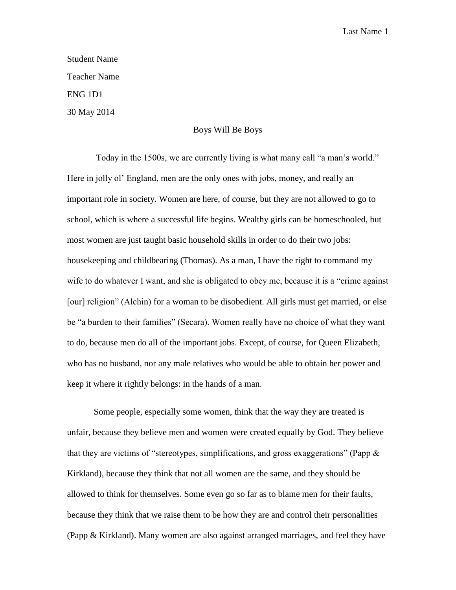## Student Name Teacher Name ENG 1D1 30 May 2014

## Boys Will Be Boys

Today in the 1500s, we are currently living is what many call "a man's world." Here in jolly ol' England, men are the only ones with jobs, money, and really an important role in society. Women are here, of course, but they are not allowed to go to school, which is where a successful life begins. Wealthy girls can be homeschooled, but most women are just taught basic household skills in order to do their two jobs: housekeeping and childbearing (Thomas). As a man, I have the right to command my wife to do whatever I want, and she is obligated to obey me, because it is a "crime against [our] religion" (Alchin) for a woman to be disobedient. All girls must get married, or else be "a burden to their families" (Secara). Women really have no choice of what they want to do, because men do all of the important jobs. Except, of course, for Queen Elizabeth, who has no husband, nor any male relatives who would be able to obtain her power and keep it where it rightly belongs: in the hands of a man.

Some people, especially some women, think that the way they are treated is unfair, because they believe men and women were created equally by God. They believe that they are victims of "stereotypes, simplifications, and gross exaggerations" (Papp  $\&$ Kirkland), because they think that not all women are the same, and they should be allowed to think for themselves. Some even go so far as to blame men for their faults, because they think that we raise them to be how they are and control their personalities (Papp & Kirkland). Many women are also against arranged marriages, and feel they have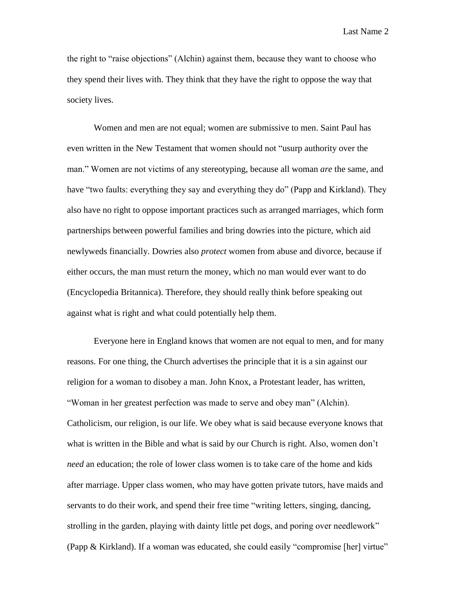the right to "raise objections" (Alchin) against them, because they want to choose who they spend their lives with. They think that they have the right to oppose the way that society lives.

Women and men are not equal; women are submissive to men. Saint Paul has even written in the New Testament that women should not "usurp authority over the man." Women are not victims of any stereotyping, because all woman *are* the same, and have "two faults: everything they say and everything they do" (Papp and Kirkland). They also have no right to oppose important practices such as arranged marriages, which form partnerships between powerful families and bring dowries into the picture, which aid newlyweds financially. Dowries also *protect* women from abuse and divorce, because if either occurs, the man must return the money, which no man would ever want to do (Encyclopedia Britannica). Therefore, they should really think before speaking out against what is right and what could potentially help them.

Everyone here in England knows that women are not equal to men, and for many reasons. For one thing, the Church advertises the principle that it is a sin against our religion for a woman to disobey a man. John Knox, a Protestant leader, has written, "Woman in her greatest perfection was made to serve and obey man" (Alchin). Catholicism, our religion, is our life. We obey what is said because everyone knows that what is written in the Bible and what is said by our Church is right. Also, women don't *need* an education; the role of lower class women is to take care of the home and kids after marriage. Upper class women, who may have gotten private tutors, have maids and servants to do their work, and spend their free time "writing letters, singing, dancing, strolling in the garden, playing with dainty little pet dogs, and poring over needlework" (Papp & Kirkland). If a woman was educated, she could easily "compromise [her] virtue"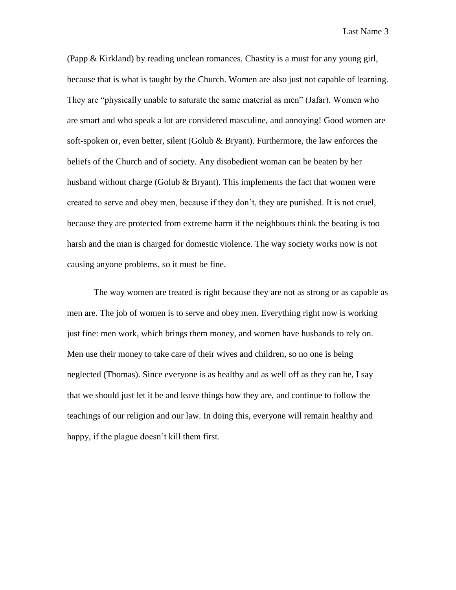(Papp & Kirkland) by reading unclean romances. Chastity is a must for any young girl, because that is what is taught by the Church. Women are also just not capable of learning. They are "physically unable to saturate the same material as men" (Jafar). Women who are smart and who speak a lot are considered masculine, and annoying! Good women are soft-spoken or, even better, silent (Golub & Bryant). Furthermore, the law enforces the beliefs of the Church and of society. Any disobedient woman can be beaten by her husband without charge (Golub & Bryant). This implements the fact that women were created to serve and obey men, because if they don't, they are punished. It is not cruel, because they are protected from extreme harm if the neighbours think the beating is too harsh and the man is charged for domestic violence. The way society works now is not causing anyone problems, so it must be fine.

The way women are treated is right because they are not as strong or as capable as men are. The job of women is to serve and obey men. Everything right now is working just fine: men work, which brings them money, and women have husbands to rely on. Men use their money to take care of their wives and children, so no one is being neglected (Thomas). Since everyone is as healthy and as well off as they can be, I say that we should just let it be and leave things how they are, and continue to follow the teachings of our religion and our law. In doing this, everyone will remain healthy and happy, if the plague doesn't kill them first.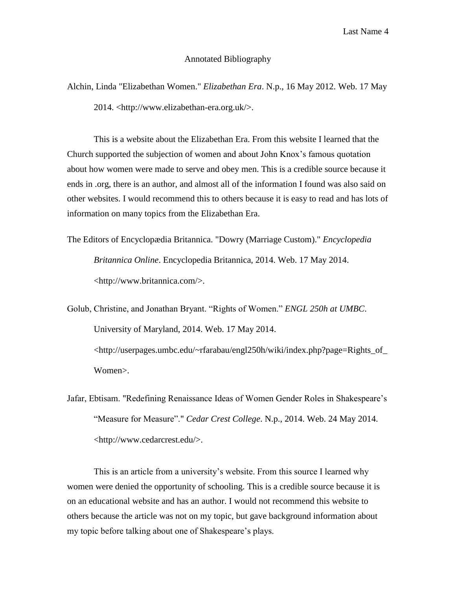## Annotated Bibliography

Alchin, Linda "Elizabethan Women." *Elizabethan Era*. N.p., 16 May 2012. Web. 17 May 2014. <http://www.elizabethan-era.org.uk/>.

This is a website about the Elizabethan Era. From this website I learned that the Church supported the subjection of women and about John Knox's famous quotation about how women were made to serve and obey men. This is a credible source because it ends in .org, there is an author, and almost all of the information I found was also said on other websites. I would recommend this to others because it is easy to read and has lots of information on many topics from the Elizabethan Era.

The Editors of Encyclopædia Britannica. "Dowry (Marriage Custom)." *Encyclopedia Britannica Online*. Encyclopedia Britannica, 2014. Web. 17 May 2014. <http://www.britannica.com/>.

Golub, Christine, and Jonathan Bryant. "Rights of Women." *ENGL 250h at UMBC*. University of Maryland, 2014. Web. 17 May 2014. [<http://userpages.umbc.edu/~rfarabau/engl250h/wiki/index.php?page=Rights\\_of\\_](http://userpages.umbc.edu/~rfarabau/engl250h/wiki/index.php?page=Rights_of_%09Women) [Women>](http://userpages.umbc.edu/~rfarabau/engl250h/wiki/index.php?page=Rights_of_%09Women).

Jafar, Ebtisam. "Redefining Renaissance Ideas of Women Gender Roles in Shakespeare's "Measure for Measure"." *Cedar Crest College*. N.p., 2014. Web. 24 May 2014. <http://www.cedarcrest.edu/>.

This is an article from a university's website. From this source I learned why women were denied the opportunity of schooling. This is a credible source because it is on an educational website and has an author. I would not recommend this website to others because the article was not on my topic, but gave background information about my topic before talking about one of Shakespeare's plays.